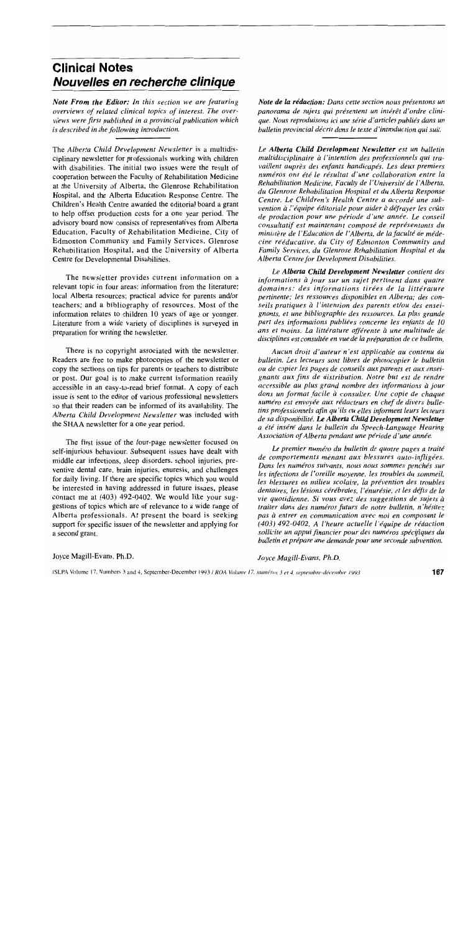# **Clinical Notes Nouvelles en recherche clinique**

*Note From the Editor: In this section we are featuring overviews of related clinical topics of interest. The overviews were first published in a provincial publication which is described in the following introduction.* 

The *Alberta Child Development Newsletter* is a multidisciplinary newsletter for professionals working with children with disabilities. The initial two issues were the result of cooperation between the Faculty of Rehabilitation Medicine at the University of Alberta, the Glenrose Rehabilitation Hospital, and the Alberta Education Response Centre. The Children's Health Centre awarded the editorial board a grant to help offset production costs for a one year period. The advisory board now consists of representatives from Alberta Education, Faculty of Rehabilitation Medicine, City of Edmonton Community and Family Services, Glenrose Rehabilitation Hospital, and the University of Alberta Centre for Developmental Disabilities.

The newsletter provides current information on a relevant topic in four areas: information from the literature; local Alberta resources; practical advice for parents and/or teachers; and a bibliography of resources. Most of the information relates to children 10 years of age or younger. Literature from a wide variety of disciplines is surveyed in preparation for writing the newsletter.

There is no copyright associated with the newsletter. Readers are free to make photocopies of the newsletter or copy the sections on tips for parents or teachers to distribute or post. Our goal is to make current information readily accessible in an easy-to-read brief format. A copy of each issue is sent to the editor of various professional newsletters so that their readers can be informed of its availability. The *Alberta Child Development Newsletter* was included with the SHAA newsletter for a one year period.

The first issue of the four-page newsletter focused on self-injurious behaviour. Subsequent issues have dealt with middle ear infections, sleep disorders, school injuries, preventive dental care, brain injuries, enuresis, and challenges for daily living. If there are specific topics which you would be interested in having addressed in future issues, please contact me at (403) 492-0402. We would like your suggestions of topics which are of relevance to a wide range of Alberta professionals. At present the board is seeking support for specific issues of the newsletter and applying for a second grant.

*Note de* la *redaction: Dans cette section nous presentons un panorama de sujets qui presentent un inter€! d'ordre cUni*que. Nous reproduisons ici une série d'articles publiés dans un *bulletin provincial decrit dans le texte d'introduction qui suit.* 

*Le Alberta Child Development Newsletter est un bulletin multidisciplinaire a ['intention des professionnels qui travail/ent aupres des enfants handicapes. Les deux premiers numiros ont ete le resultat d'une collaboration entre la Rehabilitation Medicine, Faculty de l'Universiti de l'Alberta, du Glenrose Rehabilitation Hospital et du Alberta Response Centre. Le Children's Health Centre a accorde une subvention a l'equipe editoriale pour aider a defrayer les cOlifs de production pour une periode d 'une annee. Le conseil consultatif est maintenant compose de reprisentants du ministere de l'Education de l'Alberta, de lafaculte de medecine reeducative, du City of Edmonton Community and Family Services, du Glenrose Rehabilitation Hospital et du Alberta Centre for Development Disabilities.* 

*Le Alberta Child Development Newsletter contient des informations à jour sur un sujet pertinent dans quatre domaines: des informations tirees de la litterature pertinente; les ressources disponibles en Alberta; des conseils pratiques a I'intention des parents et/ou des enseignants, et une bibliographie des ressources. La plus grande part des informations publiees concerne les enfants de 10 ans et moins. La littirature affirente a une multitude de*  disciplines est consultée en vue de la préparation de ce bulletin.

*Aucun droit d'auteur n'est applicable au contenu du bulletin. Les lecteurs sont fibres de photocopier le bulletin ou de copier les pages de conseils aux parents et aux enseignants aux fins de distribution. Notre but est de rendre accessible au plus grand nombre des informations a jour dans un format facile a consulter. Une copie de chaque*  numéro est envoyée aux rédacteurs en chef de divers bulle*tins professionnels afin qu 'Us ou elles informent leurs lecteurs de sa disponibilite. Le Alberta Child Development Newsletter a ere insere dans le bulletin du Speech-Language Hearing Association of Alberta pendant une periode d'une annee.* 

Le premier numéro du bulletin de quatre pages a traité *de comportements menant aux blessures auto-infligees.*  Dans les numéros suivants, nous nous sommes penchés sur *les infections de l'oreille moyenne, les troubles du sommeil, les blessures en milieu scolaire, la prevention des troubles*  dentaires, les lésions cérébrales, l'énurésie, et les défis de la *vie quotidienne.* Si *vous avez des suggestions de sujets a traiter dans des numeros futurs de notre bulletin, n 'hisitez pas a entrer en communication avec moi en composant le (403) 492-0402. A l'heure actuelle l'equipe de redaction sollicite un appui financier pour des numeros specijiques du bulletin et prepare une demande pour une seconde subvention.* 

Joyce Magill-Evans, Ph.D.

*Joyce Magill-Evans, Ph.D.*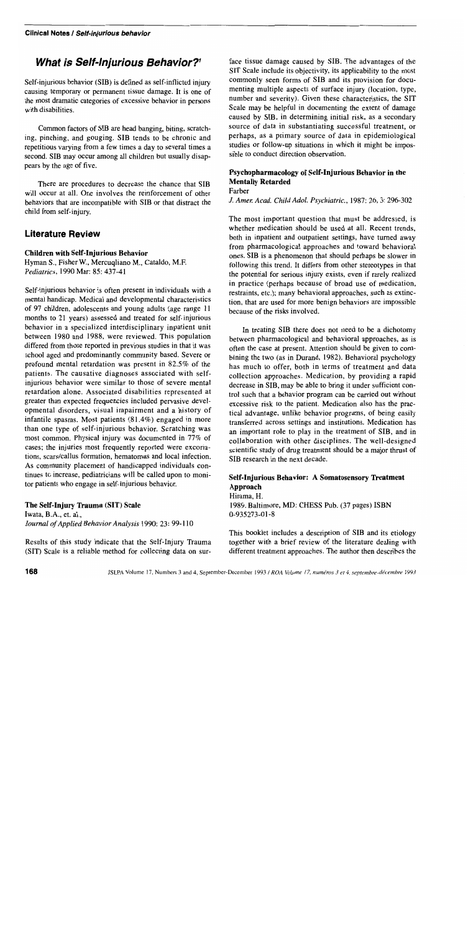# **What is Self-Injurious 8ehavior?'**

Self-injurious behavior (SIB) is defined as self-inflicted injury causing temporary or permanent tissue damage. It is one of the most dramatic categories of excessive behavior in persons with disabilities.

Common factors of SIB are head banging, biting, scratching, pinching, and gouging. SIB tends to be chronic and repetitious varying from a few times a day to several times a second. SIB may occur among all children but usually disappears by the age of five.

There are procedures to decrease the chance that SIB will occur at all. One involves the reinforcement of other behaviors that are incompatible with SIB or that distract the child from self-injury.

# **Literature Review**

#### Children with Self-Injurious Behavior

Hyman *S.,* Fisher w., Mercuqliano M., Cataldo, M.F. *Pediatrics,* 1990 Mar: 85: 437-41

Self-injurious behavior is often present in individuals with a mental handicap. Medical and developmental characteristics of 97 children, adolescents and young adults (age range 11 months to 21 years) assessed and treated for self-injurious behavior in a specialized interdisciplinary inpatient unit between 1980 and 1988, were reviewed. This population differed from those reported in previous studies in that it was school aged and predominantly community based. Severe or profound mental retardation was present in 82.5% of the patients. The causative diagnoses associated with selfinjurious behavior were similar to those of severe mental retardation alone. Associated disabilities represented at greater than expected frequencies included pervasive developmental disorders, visual impairment and a history of infantile spasms. Most patients (81.4%) engaged in more than one type of self-injurious behavior. Scratching was most common. Physical injury was documented in 77% of cases; the injuries most frequently reported were excoriations, scars/callus formation. hematomas and local infection. As community placement of handicapped individuals continues to increase, pediatricians will be called upon to monitor patients who engage in self-injurious behavior.

#### The Self-Injury Trauma (SIT) Scale

Iwata, B.A., et. aI., *Journal of Applied Behavior Analysis* 1990: 23: 99-110

Results of this study indicate that the Self-Injury Trauma (SIT) Scale is a reliable method for collecting data on surface tissue damage caused by SIB. The advantages of the SIT Scale include its objectivity, its applicability to the most commonly seen forms of SIB and its provision for documenting multiple aspects of surface injury (location, type, number and severity). Given these characteristics, the SIT Scale may be helpful in documenting the extent of damage caused by SIB, in determining initial risk, as a secondary source of data in substantiating successful treatment, or perhaps, as a primary source of data in epidemiological studies or follow-up situations in which it might be impossible to conduct direction observation.

### Psychopharmacology of Self-Injurious Behavior in the Mentally Retarded

Farber

*J. Amer. Acad. Child Adol. Psychiatric.,* 1987: 26, 3: 296-302

The most important question that must be addressed, is whether medication should be used at all. Recent trends, both in inpatient and outpatient settings, have turned away from pharmacological approaches and toward behavioral ones. SIB is a phenomenon that should perhaps be slower in following this trend. It differs from other stereotypes in that the potential for serious injury exists, even if rarely realized in practice (perhaps because of broad use of medication, restraints, etc.); many behavioral approaches, such as extinction, that are used for more benign behaviors are impossible because of the risks involved.

In treating SIB there does not need to be a dichotomy between pharmacological and behavioral approaches, as is often the case at present. Attention should be given to combining the two (as in Durand, 1982). Behavioral psychology has much to offer, both in terms of treatment and data collection approaches. Medication, by providing a rapid decrease in SIB, may be able to bring it under sufficient control such that a behavior program can be carried out without excessive risk to the patient. Medication also has the practical advantage, unlike behavior programs, of being easily transferred across settings and institutions. Medication has an important role to play in the treatment of SIB, and in collaboration with other disciplines. The well-designed scientific study of drug treatment should be a major thrust of SIB research in the next decade.

### Self.Injurious Behavior: A Somatosensory Treatment Approach

Hirama, H. 1989. Baltimore, MD: CHESS Pub. (37 pages) ISBN 0-935273-01-8

This booklet includes a description of SIB and its etiology together with a brief review of the literature dealing with different treatment approaches. The author then describes the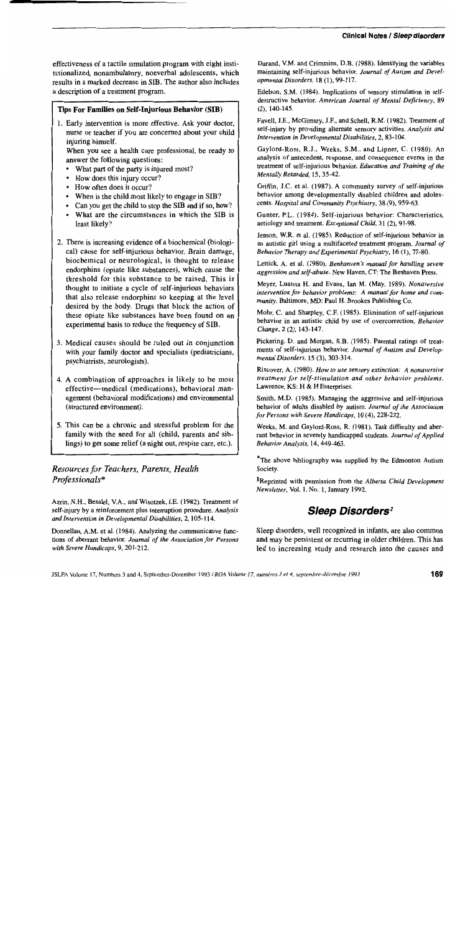### Clinical Notes / Sieep disorders

effectiveness of a tactile simulation program with eight institutionalized, nonambulatory, nonverbal adolescents, which results in a marked decrease in SIB. The author also includes a description of a treatment program.

### Tips For Families on Self-Injurious Behavior (SIB)

1. Early intervention is more effective. Ask your doctor, nurse or teacher if you are concerned about your child injuring himself.

When you see a health care professional, be ready to answer the following questions:

- What part of the party is injured most?
- How does this injury occur?
- How often does it occur?
- When is the child most likely to engage in SIB?
- Can you get the child to stop the SIB and if so, how?
- What are the circumstances in which the SIB is least likely?
- 2. There is increasing evidence of a biochemical (biological) cause for self-injurious behavior. Brain damage, biochemical or neurological, is thought to release endorphins (opiate like substances), which cause the threshold for this substance to be raised. This is thought to initiate a cycle of self-injurious behaviors that also release endorphins so keeping at the level desired by the body. Drugs that block the action of these opiate like substances have been found on an experimental basis to reduce the frequency of SIB.
- 3. Medical causes should be ruled out in conjunction with your family doctor and specialists (pediatricians, psychiatrists, neurologists).
- 4. A combination of approaches is likely to be most effective-medical (medications), behavioral management (behavioral modifications) and environmental (structured environment).
- 5. This can be a chronic and stressful problem for the family with the need for all (child, parents and siblings) to get some relief (a night out, respite care, etc.).

# *Resources for Teachers, Parents, Health Professionals\**

Azrin, N.H., Besalel, V.A., and Wisotzek, I.E. (1982). Treatment of self·injury by a reinforcement plus interruption procedure. *Analysis and Intervention in Developmental Disabilities,* 2,105-114.

Donnellan, A.M. et al. (1984). Analyzing the communicative functions of aberrant behavior. *Journal of the Association for Persons with Severe Handicaps,* 9, 201·212.

Durand, V.M. and Crimmins, D.B. (1988). Identifying the variables maintaining self-injurious behavior. *Journal of Autism* and *Developmental Disorders,* 18 (l), 99-117.

Edelson, S.M. (1984). Implications of sensory stimulation in self· destructive behavior. *American Journal of Mental Deficiency, 89*  (2), 140-145.

Favell. I.E., McGimsey, IF.. and Schell. R.M. (1982). Treatment of self-injury by providing alternate sensory activities. *Analysis and Intervention in Developmental Disabilities,* 2, 83-104.

Gaylord-Ross, *R.I.,* Weeks, S.M., and Lipner, C. (1980). An analysis of antecedent, response, and consequence events in the treatment of self-injurious behavior. *Education and Training of the Mentally Retarded,* 15,35·42.

Griffin, 1.C. et al. (1987). A community survey of self-injurious behavior among developmentally disabled children and adolescents. *Hospital and Community Psychiatry,* 38 (9), 959-63.

Gunter, P.L. (1984). Self-injurious behavior: Characteristics, aetiology and treatment. *Exceptional Child,* 31 (2), 91-98.

lenson, W.R. et a!. (1985). Reduction of self-injurious behavior in an autistic girl using a multifaceted treatment program. *Journal of Behavior Therapy and Experimental Psychiatry, 16 (1), 77-80.* 

Lettick, A. et aJ. (1980). *Benhanven's manual for handling severe*  aggression and self-abuse. New Haven, CT: The Benhaven Press.

Meyer, Luanna H. and Evans, lan M. (May, 1989). *Nonaversive intervention for behavior problems: A manual for home and com· munity.* Baltimore, MD: Paul H. Brookes Publishing Co.

Mohr, C. and Sharpley, C.F. (1985). Elimination of self-injurious behavior in an autistic child by use of overcorrection. *Behavior Change,* 2 (2), 143-147.

Pickering, D. and Morgan, S.B. (1985). Parental ratings of treat· ments of self·injurious behavior. *Journal of Autism and Developmental Disorders,* 15 (3), 303-314.

Rincover, A. (1980). *How to use sensory extinction: A nonaversive treatment for self-stimulation and other behavior problems.*  Lawrence, KS: H & H Enterprises.

Smith, M.D. (1985). Managing the aggressive and self-injurious behavior of adults disabled by autism. *Journal of the Association for Persons with Severe Handicaps,* 10 (4),228-232.

Weeks, M. and Gaylord-Ross, R. (1981). Task difficulty and aberrant behavior in severely handicapped students. *Journal of Applied Behavior Analysis,* 14,449-463.

\*The above bibliography was supplied by the Edmonton Autism Society.

lReprinted with permission from the *Alberta Child Development Newsletter,* Vo!. I, No. 1, lanuary 1992.

# **Sleep Oisorders***<sup>2</sup>*

Sleep disorders, well recognized in infants, are also common and may be persistent or recurring in older children. This has led to increasing study and research into the causes and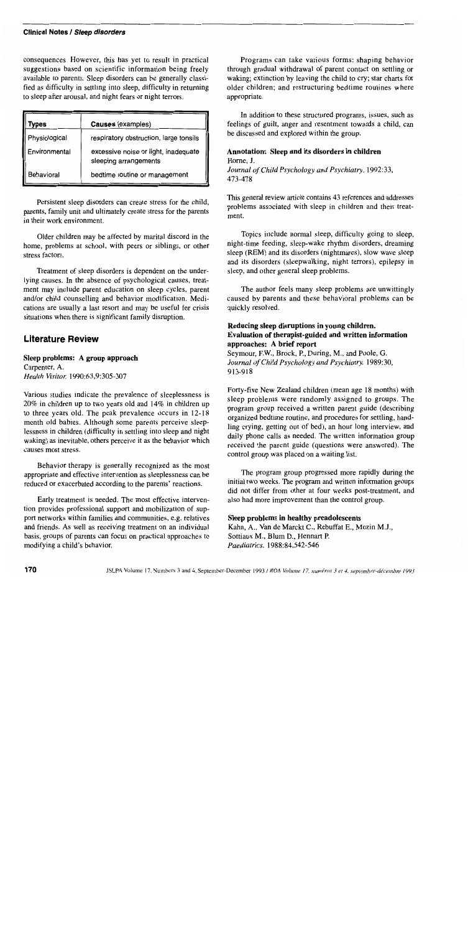#### Clinical Notes / Sleep disorders

consequences. However, this has yet to result in practical suggestions based on scientific information being freely available to parents. Sleep disorders can be generally classified as difficulty in settling into sleep, difficulty in returning to sleep after arousal, and night fears or night terrors.

| Types         | Causes (examples)                                             |  |  |
|---------------|---------------------------------------------------------------|--|--|
| Physiological | respiratory obstruction, large tonsils                        |  |  |
| Environmental | excessive noise or light, inadequate<br>sleeping arrangements |  |  |
| Behavioral    | bedtime routine or management                                 |  |  |

Persistent sleep disorders can create stress for the child, parents, family unit and ultimately create stress for the parents in their work environment.

Older children may be affected by marital discord in the home, problems at school, with peers or siblings, or other stress factors.

Treatment of sleep disorders is dependent on the underlying causes. In the absence of psychological causes, treatment may include parent education on sleep cycles, parent and/or child counselling and behavior modification. Medications are usually a last resort and may be useful for crisis situations when there is significant family disruption.

### **Literature Review**

#### Sleep problems: A group approach

Carpenter, A. *Health Visitor. 1990:63,9:305-307* 

Various studies indicate the prevalence of sleeplessness is 20% in children up to two years old and 14% in children up to three years old. The peak prevalence occurs in 12-18 month old babies. Although some parents perceive sleeplessness in children (difficulty in settling into sleep and night waking) as inevitable, others perceive it as the behavior which causes most stress.

Behavior therapy is generally recognized as the most appropriate and effective intervention as sleeplessness can be reduced or exacerbated according to the parents' reactions.

Early treatment is needed. The most effective intervention provides professional support and mobilization of support networks within families and communities, e.g. relatives and friends. As well as receiving treatment on an individual basis, groups of parents can focus on practical approaches to modifying a child's behavior.

Programs can take various forms: shaping behavior through gradual withdrawal of parent contact on settling or waking; extinction by leaving the child to cry; star charts for older children; and restructuring bedtime routines where appropriate.

In addition to these structured programs, issues, such as feelings of guilt, anger and resentment towards a child, can be discussed and explored within the group.

#### Annotation: Sleep and its disorders in children Home, 1.

*Journal of Child Psychology and Psychiatry. 1992:33,*  473-478

This general review article contains 43 references and addresses problems associated with sleep in children and their treatment.

Topics include normal sleep, difficulty going to sleep, night-time feeding, sleep-wake rhythm disorders, dreaming sleep (REM) and its disorders (nightmares), slow wave sleep and its disorders (sleepwalking, night terrors), epilepsy in sleep, and other general sleep problems.

The author feels many sleep problems are unwittingly caused by parents and these behavioral problems can be quickly resolved.

#### Reducing sleep disruptions in young children. Evaluation of therapist-guided and written information approaches: A brief report

Seymour, EW., Brock, P., During, M., and Poole, G. *Journal of Child Psychology and Psychiatry. 1989:30,*  913-918

Forty-five New Zealand children (mean age 18 months) with sleep problems were randomly assigned to groups. The program group received a written parent guide (describing organized bedtime routine, and procedures for settling, handling crying, getting out of bed), an hour long interview, and daily phone calls as needed. The written information group received the parent guide (questions were answered). The control group was placed on a waiting list.

The program group progressed more rapidly during the initial two weeks. The program and written information groups did not differ from other at four weeks post-treatment, and also had more improvement than the control group.

#### Sleep problems in healthy preadolescents

Kahn, A., Van de Marckt C., Rebuffat E., Mozin MJ., Sottiaux M., Blum D., Hennart P. *Paediatrics. 1988:84,542-546*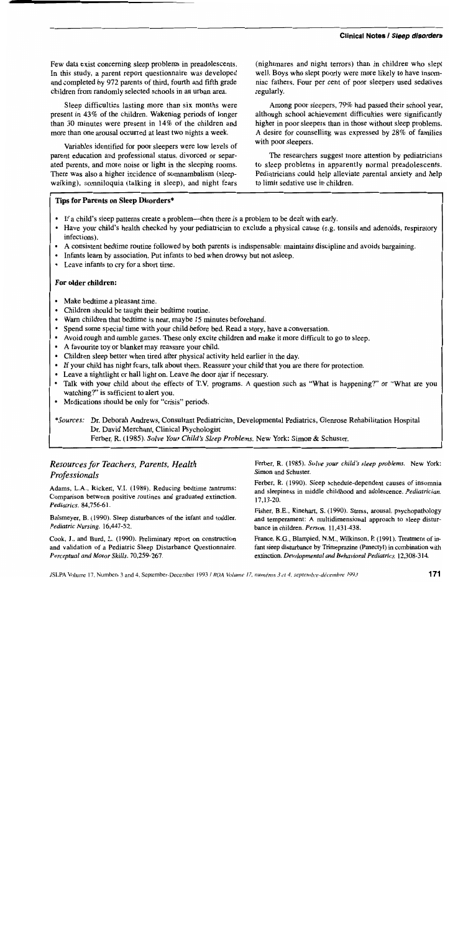Few data exist concerning sleep problems in preadolescents. In this study, a parent report questionnaire was developed and completed by 972 parents of third, fourth and fifth grade children from randomly selected schools in an urban area.

Sleep difficulties lasting more than six months were present in 43% of the children. Wakening periods of longer than 30 minutes were present in 14% of the children and more than one arousal occurred at least two nights a week.

Variables identified for poor sleepers were low levels of parent education and professional status, divorced or separated parents, and more noise or light in the sleeping rooms. There was also a higher incidence of somnambulism (sleepwalking), somniloquia (talking in sleep), and night fears (nightmares and night terrors) than in children who slept well. Boys who slept poorly were more likely to have insomniac fathers. Four per cent of poor sleepers used sedatives regularly.

Among poor sleepers, 79% had passed their school year, although school achievement difficulties were significantly higher in poor sleepers than in those without sleep problems. A desire for counselling was expressed by 28% of families with poor sleepers.

The researchers suggest more attention by pediatricians to sleep problems in apparently normal preadolescents. Pediatricians could help alleviate parental anxiety and help to limit sedative use in children.

#### **Tips for Parents on Sleep Disorders\***

- If a child's sleep patterns create a problem-then there is a problem to be dealt with early.
- Have your child's health checked by your pediatrician to exclude a physical cause (e.g. tonsils and adenoids, respiratory infections).
- A consistent bedtime routine followed by both parents is indispensable: maintains discipline and avoids bargaining.
- Infants learn by association. Put infants to bed when drowsy but not asleep.
- Leave infants to cry for a short time.

#### **For older children:**

- Make bedtime a pleasant time.
- Children should be taught their bedtime routine.
- Warn children that bedtime is near, maybe 15 minutes beforehand.
- Spend some special time with your child before bed. Read a story, have a conversation.
- Avoid rough and tumble games. These only excite children and make it more difficult to go to sleep.
- A favourite toy or blanket may reassure your child.
- Children sleep better when tired after physical activity held earlier in the day.
- If your child has night fears, talk about them. Reassure your child that you are there for protection.
- Leave a nightlight or hall light on. Leave the door ajar if necessary.
- Talk with your child about the effects of T.V. programs. A question such as "What is happening?" or "What are you watching?" is sufficient to alert you.
- Medications should be only for "crisis" periods.

# \* *Sources:* Dr. Deborah Andrews, Consultant Pediatrician, Developmental Pediatrics, Glenrose Rehabilitation Hospital Dr. David Merchant, Clinical Psychologist

Ferber, R. (1985). *Solve Your Child's Sleep Problems.* New York: Simon & Schuster.

# *Resources for Teachers, Parents, Health Professionals*

Adams, L.A., Rickert, V.I. (1989). Reducing bedtime tantrums: Comparison between positive routines and graduated extinction. *Pediatrics. 84,756-61.* 

Balsmeyer, B. (1990). Sleep disturbances of the infant and toddler. *Pediatric Nursing. 16,447-52.* 

Cook, J., and Burd, L. (1990). Preliminary report on construction and validation of a Pediatric Sleep Disturbance Questionnaire. *Perceptual and Motor Skills. 70,259-267.* 

Ferber, R. (1985). *Solve your child's sleep problems.* New York: Simon and Schuster.

Ferber. R. (1990). Sleep schedule-dependent causes of insomnia and sleepiness in middle childhood and adolescence. *Pediatrician.*  17,13-20.

Fisher, B.E., Rinehart, S. (1990). Stress, arousal, psychopathology and temperament: A multidimensional approach to sleep disturbance in children. *Person. 11,431-438.* 

France, KG., Blampied, N.M., Wilkinson, P. (1991). Treatment of infant sleep disturbance by Trimeprazine (Panectyl) in combination with extinction. *Developmental* and *Behavioml Pediatrics. 12,308-314.*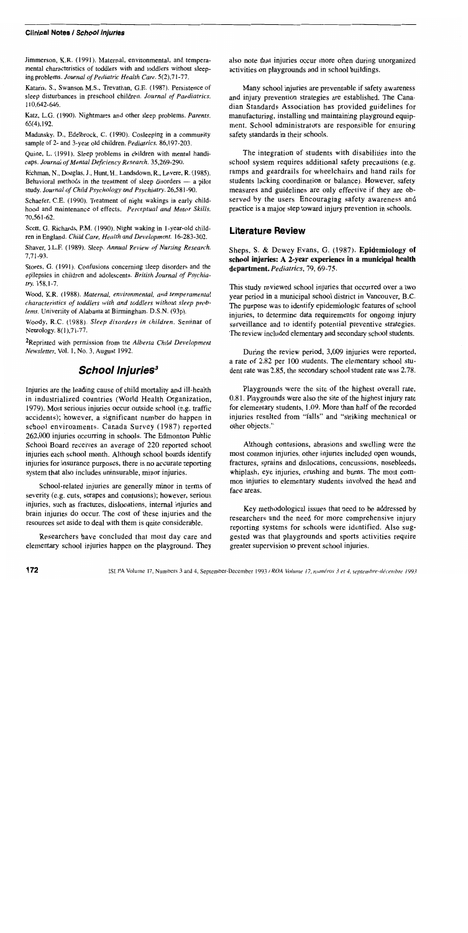#### **Clinical Notes / School injuries**

Jimmerson, K.R. (1991). Maternal, environmental, and temperamental characteristics of toddlers with and toddlers without sleeping problems. *Journal of Pediatric Health Care.* 5(2),71-77.

Kataria, S., Swanson M.S., Trevathan, G.E. (1987). Persistence of sleep disturbances in preschool children. *Journal of Paediatrics.*  110,642-646.

Katz, L.G. (1990). Nightmares and other sleep problems. *Parents.*  65(4).192.

Madansky, D., Edelbrock, C. (1990). Cosleeping in a community sample of 2- and 3-year old children. *Pediatrics. 86,197-203.* 

Quine, L. (1991). Sleep problems in children with mental handicaps. *Journal of Mental Deficiency Research. 35,269-290.* 

Richman, N., Douglas, J., Hunt, H., Landsdown, R., Levere, R. (1985). Behavioral methods in the treatment of sleep disorders  $-$  a pilot study. *Journal of Child Psychology and Psychiatry. 26,581-90.* 

Schaefer, C.E. (1990). Treatment of night wakings in early childhood and maintenance of effects. *Perceptual and Motor Skills.*  70,561-62.

Scott. G. Richards, P.M. (1990). Night waking in l-year-old children in England. *Child Care, Health and Development. 16-283-302.* 

Shaver, J.L.P. (1989). Sleep. *Annual Review of Nursing Research.*  7,71-93.

Stores, G. (1991). Confusions concerning sleep disorders and the epilepsies in children and adolescents. *British Journal of Psychiatry.* 158,1-7.

Wood. K.R. (1988). *Maternal, environmental. and temperamental characteristics of toddlers with and toddlers without sleep problems.* University of Alabama at Birmingham. D.S.N. (93p).

Woody, R.C. (1988). *Sleep disorders in children*. Seminar of Neurology. 8(1),71-77.

2Reprinted with permission from the *Alberta Child Development Newsletter.* Vo!. I, No. 3, August 1992.

# **School Injuries**<sup>3</sup>

Injuries are the leading cause of child mortality and ill-health in industrialized countries (World Health Organization, 1979). Most serious injuries occur outside school (e.g. traffic accidents); however, a significant number do happen in school environments. Canada Survey (1987) reported 262,000 injuries occurring in schools. The Edmonton Public School Board receives an average of 220 reported school injuries each school month. Although school boards identify injuries for insurance purposes, there is no accurate reporting system that also includes uninsurable, minor injuries.

School-related injuries are generally minor in terms of severity (e.g. cuts, scrapes and contusions); however, serious injuries, such as fractures, dislocations, internal injuries and brain injuries do occur. The cost of these injuries and the resources set aside to deal with them is quite considerable.

Researchers have concluded that most day care and elementary school injuries happen on the playground. They also note that injuries occur more often during unorganized activities on playgrounds and in school buildings.

Many school injuries are preventable if safety awareness and injury prevention strategies are established. The Canadian Standards Association has provided guidelines for manufacturing, installing and maintaining playground equipment. School administrators are responsible for ensuring safety standards in their schools.

The integration of students with disabilities into the school system requires additional safety precautions (e.g. ramps and guardrails for wheelchairs and hand rails for students lacking coordination or balance). However, safety measures and guidelines are only effective if they are observed by the users. Encouraging safety awareness and practice is a major step toward injury prevention in schools.

## **Literature Review**

Sheps, S. & Dewey Evans, G. (1987). **Epidemiology of school injuries: A 2-year experience in a municipal health department.** *Pediatrics,* 79, 69-75.

This study reviewed school injuries that occurred over a two year period in a municipal school district in Vancouver, B.C. The purpose was to identify epidemiologic features of school injuries, to determine data requirements for ongoing injury surveillance and to identify potential preventive strategies. The review included elementary and secondary school students.

During the review period, 3,009 injuries were reported, a rate of 2.82 per 100 students. The elementary school student rate was 2.85, the secondary school student rate was 2.78.

Playgrounds were the site of the highest overall rate, 0.81. Playgrounds were also the site of the highest injury rate for elementary students, 1.09. More than half of the recorded injuries resulted from "falls" and "striking mechanical or other objects."

Although contusions, abrasions and swelling were the most common injuries, other injuries included open wounds, fractures, sprains and dislocations, concussions, nosebleeds, whiplash, eye injuries, crushing and bums. The most common injuries to elementary students involved the head and face areas.

Key methodological issues that need to be addressed by researchers and the need for more comprehensive injury reporting systems for schools were identified. Also suggested was that playgrounds and sports activities require greater supervision to prevent school injuries.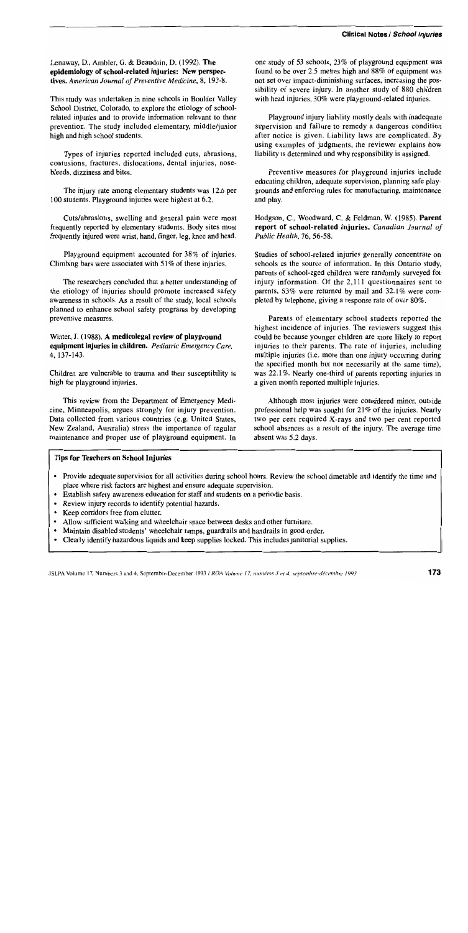Lenaway, D., Ambler, G. & Beaudoin, D. (1992). The epidemiology of school-related injuries: New perspectives. *American Journal of Preventive Medicine,* 8, 193-8.

This study was undertaken in nine schools in Boulder Valley School District, Colorado, to explore the etiology of schoolrelated injuries and to provide information relevant to their prevention. The study included elementary, middle/junior high and high school students.

Types of injuries reported included cuts, abrasions, contusions, fractures, dislocations, dental injuries, nosebleeds, dizziness and bites.

The injury rate among elementary students was 12.6 per 100 students. Playground injuries were highest at 6.2.

Cuts/abrasions, swelling and general pain were most frequently reported by elementary students. Body sites most frequently injured were wrist, hand, finger, leg, knee and head.

Playground equipment accounted for 38% of injuries. Climbing bars were associated with 51 % of these injuries.

The researchers concluded that a better understanding of the etiology of injuries should promote increased safety awareness in schools. As a result of the study, local schools planned to enhance school safety programs by developing preventive measures.

Winter, J. (1988). A medicolegal review of playground equipment injuries in children. *Pediatric Emergency Care,*  4,137-143.

Children are vulnerable to trauma and their susceptibility is high for playground injuries.

This review from the Department of Emergency Medicine, Minneapolis, argues strongly for injury prevention. Data collected from various countries (e.g. United States, New Zealand, Australia) stress the importance of regular maintenance and proper use of playground equipment. In

one study of 53 schools, 23% of playground equipment was found to be over 2.5 metres high and 88% of equipment was not set over impact-diminishing surfaces, increasing the possibility of severe injury. In another study of 880 children with head injuries, 30% were playground-related injuries.

Playground injury liability mostly deals with inadequate supervision and failure to remedy a dangerous condition after notice is given. Liability laws are complicated. By using examples of judgments, the reviewer explains how liability is determined and why responsibility is assigned.

Preventive measures for playground injuries include educating children, adequate supervision, planning safe playgrounds and enforcing rules for manufacturing, maintenance and play.

Hodgson, C., Woodward, C. & Feldman, W. (1985). Parent report of school-related injuries. *Canadian Journal of Public Health,* 76, 56-58.

Studies of school-related injuries generally concentrate on schools as the source of information. In this Ontario study, parents of school-aged children were randomly surveyed for injury information. Of the 2,111 questionnaires sent to parents, 53% were returned by mail and 32.1% were completed by telephone, giving a response rate of over 80%.

Parents of elementary school students reported the highest incidence of injuries. The reviewers suggest this could be because younger children are more likely to report injuries to their parents. The rate of injuries, including mUltiple injuries (i.e. more than one injury occurring during the specified month but not necessarily at the same time), was 22.1%. Nearly one-third of parents reporting injuries in a given month reported multiple injuries.

Although most injuries were considered minor, outside professional help was sought for 21 % of the injuries. Nearly two per cent required X-rays and two per cent reported school absences as a result of the injury. The average time absent was 5.2 days.

#### Tips for Teachers on School Injuries

- Provide adequate supervision for all activities during school hours. Review the school timetable and identify the time and place where risk factors are highest and ensure adequate supervision.
- Establish safety awareness education for staff and students on a periodic basis.
- Review injury records to identify potential hazards.
- Keep corridors free from clutter.
- Allow sufficient walking and wheelchair space between desks and other furniture.
- Maintain disabled students' wheelchair ramps, guardrails and handrails in good order.
- Clearly identify hazardous liquids and keep supplies locked. This includes janitorial supplies.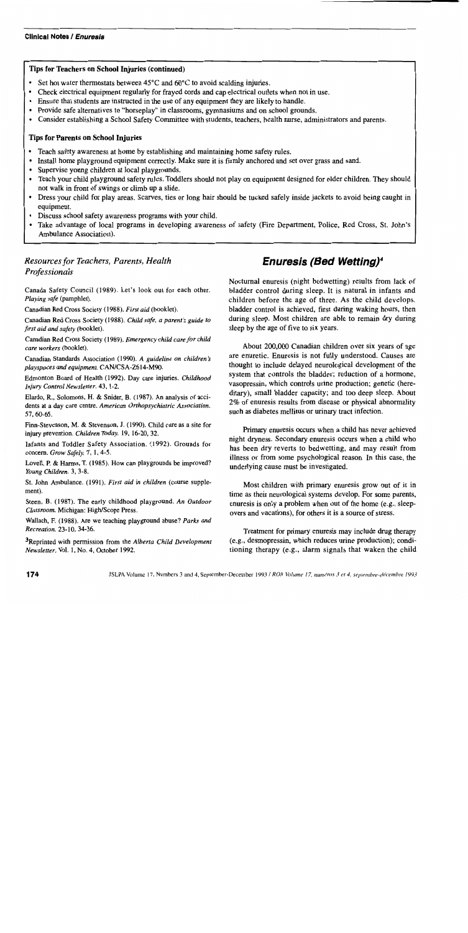#### Tips for Teachers on School Injuries (continued)

- Set hot water thermostats between  $45^{\circ}$ C and  $60^{\circ}$ C to avoid scalding injuries.
- Check electrical equipment regularly for frayed cords and cap electrical outlets when not in use.
- Ensure that students are instructed in the use of any equipment they are likely to handle.
- Provide safe alternatives to "horseplay" in classrooms, gymnasiums and on school grounds.
- Consider establishing a School Safety Committee with students, teachers, health nurse, administrators and parents.

## Tips for Parents on School Injuries

- Teach safety awareness at home by establishing and maintaining home safety rules.
- Install home playground equipment correctly. Make sure it is firmly anchored and set over grass and sand.
- Supervise young children at local playgrounds.
- Teach your child playground safety rules. Toddlers should not play on equipment designed for older children. They should not walk in front of swings or climb up a slide.
- Dress your child for play areas. Scarves. ties or long hair should be tucked safely inside jackets to avoid being caught in equipment.
- Discuss school safety awareness programs with your child.
- Take advantage of local programs in developing awareness of safety (Fire Department, Police, Red Cross, St. John's Ambulance Association).

# *Resources for Teachers, Parents, Health Professionals*

Canada Safety Council (1989). Let's look out for each other. *Playing safe* (pamphlet).

Canadian Red Cross Society (1988). *First aid* (booklet).

Canadian Red Cross Society (1988). *Child safe, a parent's guide to first aid and safety* (booklet).

Canadian Red Cross Society (1989). *Emergency child care for child care workers* (booklet).

Canadian Standards Association (1990). A *guideline on children's playspaces* and *equipment. CAN/CSA-Z614-M90.* 

Edmonton Board of Health (1992). Day care injuries. *Childhood Injury Control Newsletter.* 43, 1-2.

Elardo, R., Solomons, H. & Snider, B. (1987). An analysis of accidents at a day care centre. *American Orthopsychiatric Association.*  57,60-65.

Finn-Stevenson, M. & Stevenson, J. (1990). Child care as a site for injury prevention. *Children Today*. 19, 16-20, 32.

Infants and Toddler Safety Association. (1992). Grounds for concern. *Grow Safely.* 7, 1,4-5.

Lovell, P. & Harms, T. (1985). How can playgrounds be improved? *Young Children.* 3, 3-8.

St. John Ambulance. (1991). *First aid in children* (course supplement).

Steen, B. (1987). The early childhood playground. *An Outdoor Classroom.* Michigan: High/Scope Press.

Wallach, F. (1988). Are we teaching playground abuse? *Parks and Recreation.* 23-10, 34-36.

3Reprinted with permission from the *Alberta Child Development Newsletter,* Vol. I, No. 4, October 1992.

# **Enuresis (Bed Wetting)4**

Nocturnal enuresis (night bedwetting) results from lack of bladder control during sleep. It is natural in infants and children before the age of three. As the child develops, bladder control is achieved, first during waking hours, then during sleep. Most children are able to remain dry during sleep by the age of five to six years.

About 200,000 Canadian children over six years of age are enuretic. Enuresis is not fully understood. Causes are thought to include delayed neurological development of the system that controls the bladder; reduction of a hormone, vasopressin, which controls urine production; genetic (hereditary), small bladder capacity; and too deep sleep. About 2% of enuresis results from disease or physical abnormality such as diabetes mellitus or urinary tract infection.

Primary enuresis occurs when a child has never achieved night dryness. Secondary enuresis occurs when a child who has been dry reverts to bedwetting, and may result from illness or from some psychological reason. In this case, the underlying cause must be investigated.

Most children with primary enuresis grow out of it in time as their neurological systems develop. For some parents, enuresis is only a problem when out of the home (e.g., sleepovers and vacations), for others it is a source of stress.

Treatment for primary enuresis may include drug therapy (e.g., desmopressin, which reduces urine production); conditioning therapy (e.g., alarm signals that waken the child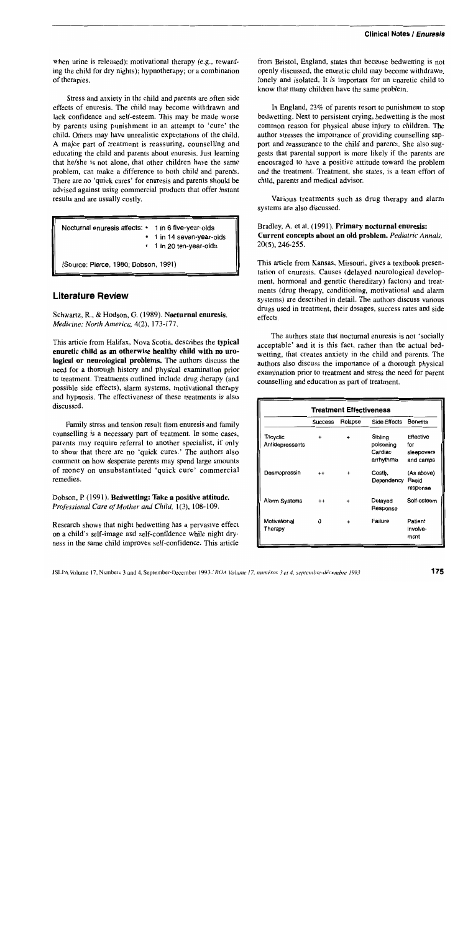when urine is released); motivational therapy (e.g., rewarding the child for dry nights); hypnotherapy; or a combination of therapies.

Stress and anxiety in the child and parents are often side effects of enuresis. The child may become withdrawn and lack confidence and self-esteem. This may be made worse by parents using punishment in an attempt to 'cure' the child. Others may have unrealistic expectations of the child. A major part of treatment is reassuring, counselling and educating the child and parents about enuresis. Just learning that he/she is not alone, that other children have the same problem, can make a difference to both child and parents. There are no 'quick cures' for enuresis and parents should be advised against using commercial products that offer instant results and are usually costly.

Nocturnal enuresis affects: • 1 in 6 five-year-olds • 1 in 14 seven-year-olds • 1 in 20 ten-year-olds

(Source: Pierce, 1980; Dobson. 1991)

# **Literature Review**

Schwartz, R.. & Hodson, G. (1989). Nocturnal enuresis. *Medicine: North America,* 4(2), 173-177.

This article from Halifax, Nova Scotia, describes the typical enuretic child as an otherwise healthy child with no urological or neurological problems. The authors discuss the need for a thorough history and physical examination prior to treatment. Treatments outlined include drug therapy (and possible side effects), alarm systems, motivational therapy and hypnosis. The effectiveness of these treatments is also discussed.

Family stress and tension result from enuresis and family counselling is a necessary part of treatment. In some cases, parents may require referral to another specialist, if only to show that there are no 'quick cures.' The authors also comment on how desperate parents may spend large amounts of money on unsubstantiated 'quick cure' commercial remedies.

Dobson, P. (1991). Bedwetting: Take a positive attitude. *Professional Care of Mother and Child,* 1(3), 108-109.

Research shows that night bedwetting has a pervasive effect on a child's self-image and self-confidence while night dryness in the same child improves self-confidence. This article from Bristol, England, states that because bedwetting is not openly discussed, the enuretic child may become withdrawn, lonely and isolated. It is important for an enuretic child to know that many children have the same problem.

In England, 23% of parents resort to punishment to stop bedwetting. Next to persistent crying, bedwetting is the most common reason for physical abuse injury to children. The author stresses the importance of providing counselling support and reassurance to the child and parents. She also suggests that parental support is more likely if the parents are encouraged to have a positive attitude toward the problem and the treatment. Treatment, she states, is a team effort of child, parents and medical advisor.

Various treatments such as drug therapy and alarm systems are also discussed.

Bradley, A. et al. (1991). Primary nocturnal enuresis: Current concepts about an old problem. *Pediatric Annals,*  20(5),246-255.

This article from Kansas, Missouri, gives a textbook presentation of enuresis. Causes (delayed neurological development, hormonal and genetic (hereditary) factors) and treatments (drug therapy, conditioning, motivational and alarm systems) are described in detail. The authors discuss various drugs used in treatment, their dosages, success rates and side effects.

The authors state that nocturnal enuresis is not 'socially acceptable' and it is this fact, rather than the actual bedwetting, that creates anxiety in the child and parents. The authors also discuss the importance of a thorough physical examination prior to treatment and stress the need for parent counselling and education as part of treatment.

| <b>Treatment Effectiveness</b> |         |           |                                               |                                             |  |
|--------------------------------|---------|-----------|-----------------------------------------------|---------------------------------------------|--|
|                                | Success | Relapse   | Side Effects                                  | <b>Benefits</b>                             |  |
| Tricyclic<br>Antidepressants   |         |           | Sibling<br>poisoning<br>Cardiac<br>arrhythmia | Effective<br>for<br>sleepovers<br>and camps |  |
| Desmopressin                   | $^{++}$ |           | Costly,<br>Dependency                         | (As above)<br>Rapid<br>response             |  |
| <b>Alarm Systems</b>           | $^{++}$ | $\ddot{}$ | Delayed<br>Response                           | Self-esteem                                 |  |
| Motivational<br>Therapy        | U       |           | Failure                                       | Patient<br>involve-<br>ment                 |  |